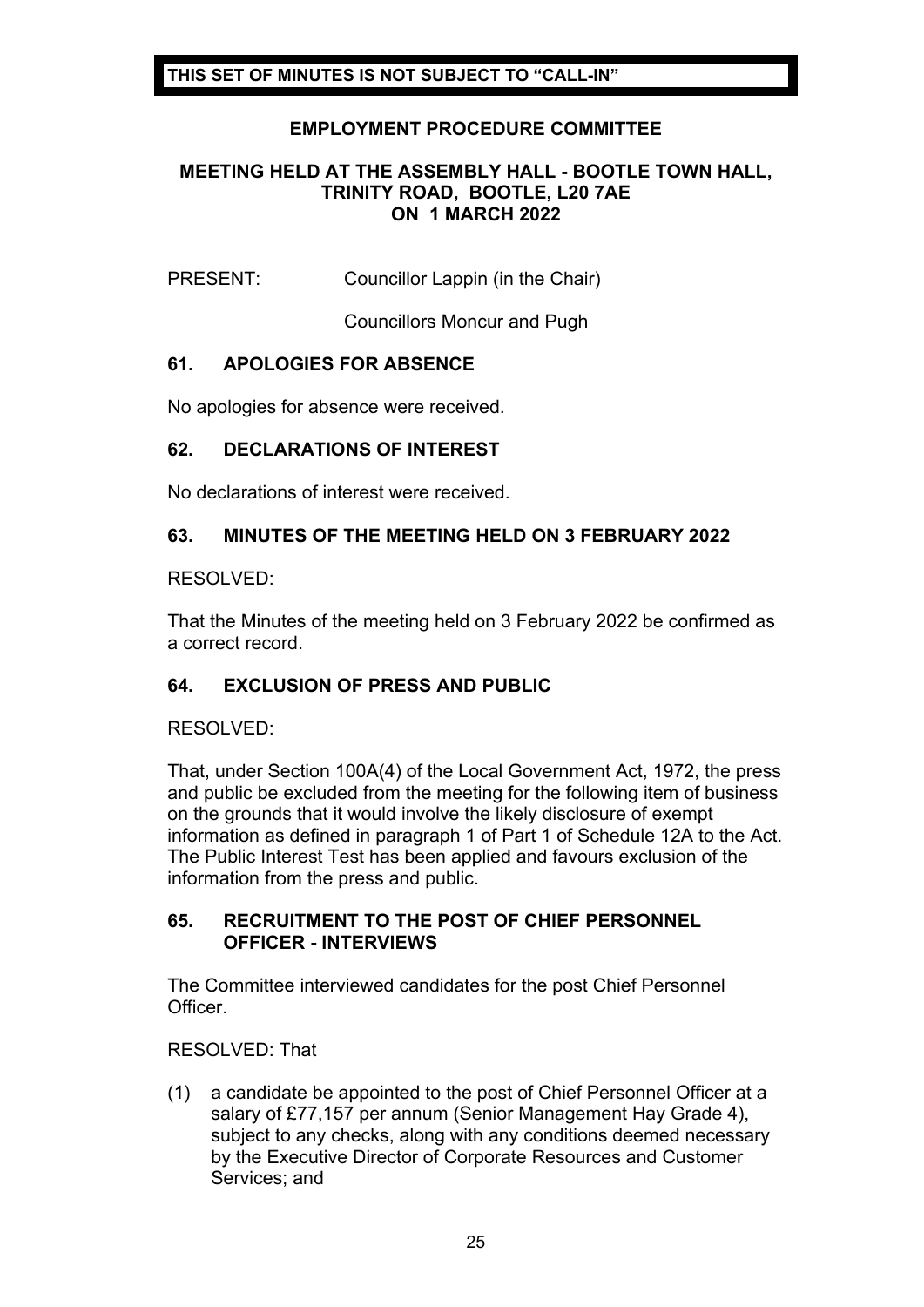# **EMPLOYMENT PROCEDURE COMMITTEE**

### **MEETING HELD AT THE ASSEMBLY HALL - BOOTLE TOWN HALL, TRINITY ROAD, BOOTLE, L20 7AE ON 1 MARCH 2022**

PRESENT: Councillor Lappin (in the Chair)

Councillors Moncur and Pugh

### **61. APOLOGIES FOR ABSENCE**

No apologies for absence were received.

### **62. DECLARATIONS OF INTEREST**

No declarations of interest were received.

# **63. MINUTES OF THE MEETING HELD ON 3 FEBRUARY 2022**

RESOLVED:

That the Minutes of the meeting held on 3 February 2022 be confirmed as a correct record.

### **64. EXCLUSION OF PRESS AND PUBLIC**

RESOLVED:

That, under Section 100A(4) of the Local Government Act, 1972, the press and public be excluded from the meeting for the following item of business on the grounds that it would involve the likely disclosure of exempt information as defined in paragraph 1 of Part 1 of Schedule 12A to the Act. The Public Interest Test has been applied and favours exclusion of the information from the press and public.

#### **65. RECRUITMENT TO THE POST OF CHIEF PERSONNEL OFFICER - INTERVIEWS**

The Committee interviewed candidates for the post Chief Personnel Officer.

RESOLVED: That

(1) a candidate be appointed to the post of Chief Personnel Officer at a salary of £77,157 per annum (Senior Management Hay Grade 4), subject to any checks, along with any conditions deemed necessary by the Executive Director of Corporate Resources and Customer Services; and